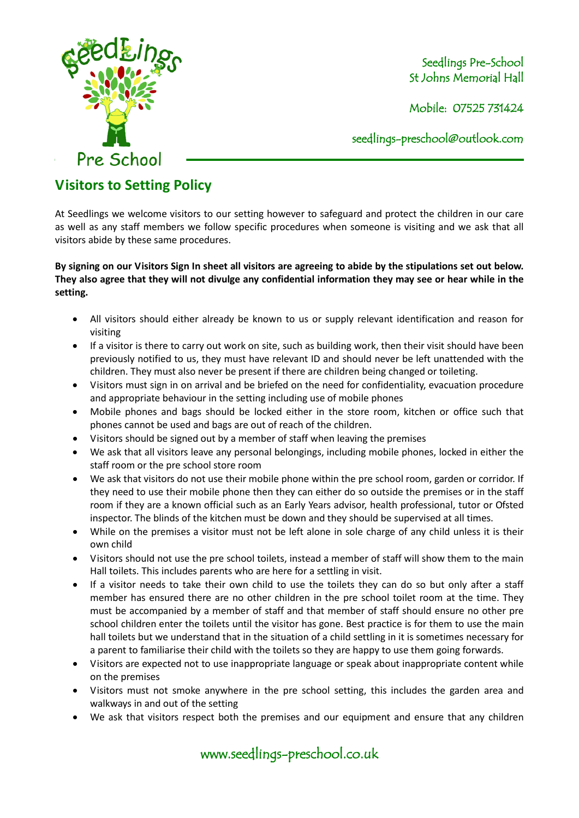

Seedlings Pre-School St Johns Memorial Hall

Mobile: 07525 731424

seedlings[-preschool@outlook.com](mailto:preschool@outlook.com) 

## **Visitors to Setting Policy**

At Seedlings we welcome visitors to our setting however to safeguard and protect the children in our care as well as any staff members we follow specific procedures when someone is visiting and we ask that all visitors abide by these same procedures.

## **By signing on our Visitors Sign In sheet all visitors are agreeing to abide by the stipulations set out below. They also agree that they will not divulge any confidential information they may see or hear while in the setting.**

- All visitors should either already be known to us or supply relevant identification and reason for visiting
- If a visitor is there to carry out work on site, such as building work, then their visit should have been previously notified to us, they must have relevant ID and should never be left unattended with the children. They must also never be present if there are children being changed or toileting.
- Visitors must sign in on arrival and be briefed on the need for confidentiality, evacuation procedure and appropriate behaviour in the setting including use of mobile phones
- Mobile phones and bags should be locked either in the store room, kitchen or office such that phones cannot be used and bags are out of reach of the children.
- Visitors should be signed out by a member of staff when leaving the premises
- We ask that all visitors leave any personal belongings, including mobile phones, locked in either the staff room or the pre school store room
- We ask that visitors do not use their mobile phone within the pre school room, garden or corridor. If they need to use their mobile phone then they can either do so outside the premises or in the staff room if they are a known official such as an Early Years advisor, health professional, tutor or Ofsted inspector. The blinds of the kitchen must be down and they should be supervised at all times.
- While on the premises a visitor must not be left alone in sole charge of any child unless it is their own child
- Visitors should not use the pre school toilets, instead a member of staff will show them to the main Hall toilets. This includes parents who are here for a settling in visit.
- If a visitor needs to take their own child to use the toilets they can do so but only after a staff member has ensured there are no other children in the pre school toilet room at the time. They must be accompanied by a member of staff and that member of staff should ensure no other pre school children enter the toilets until the visitor has gone. Best practice is for them to use the main hall toilets but we understand that in the situation of a child settling in it is sometimes necessary for a parent to familiarise their child with the toilets so they are happy to use them going forwards.
- Visitors are expected not to use inappropriate language or speak about inappropriate content while on the premises
- Visitors must not smoke anywhere in the pre school setting, this includes the garden area and walkways in and out of the setting
- We ask that visitors respect both the premises and our equipment and ensure that any children

www.seedlings-preschool.co.uk